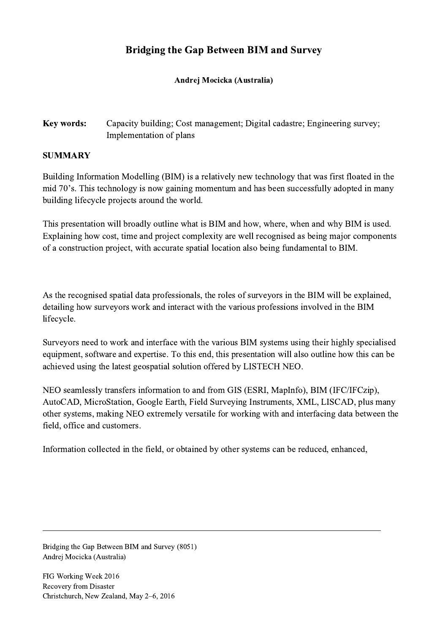## Bridging the Gap Between BIM and Survey

## Andrej Mocicka (Australia)

## Key words: Capacity building; Cost management; Digital cadastre; Engineering survey; Implementation of plans

## SUMMARY

Building Information Modelling (BIM) is a relatively new technology that was first floated in the mid 70's. This technology is now gaining momentum and has been successfully adopted in many building lifecycle projects around the world.

This presentation will broadly outline what is BIM and how, where, when and why BIM is used. Explaining how cost, time and project complexity are well recognised as being major components of a construction project, with accurate spatial location also being fundamental to BIM.

As the recognised spatial data professionals, the roles of surveyors in the BIM will be explained, detailing how surveyors work and interact with the various professions involved in the BIM lifecycle.

Surveyors need to work and interface with the various BIM systems using their highly specialised equipment, software and expertise. To this end, this presentation will also outline how this can be achieved using the latest geospatial solution offered by LISTECH NEO.

NEO seamlessly transfers information to and from GIS (ESRI, MapInfo), BIM (IFC/IFCzip), AutoCAD, MicroStation, Google Earth, Field Surveying Instruments, XML, LISCAD, plus many other systems, making NEO extremely versatile for working with and interfacing data between the field, office and customers.

Information collected in the field, or obtained by other systems can be reduced, enhanced,

 $\mathcal{L}_\mathcal{L} = \{ \mathcal{L}_\mathcal{L} = \{ \mathcal{L}_\mathcal{L} = \{ \mathcal{L}_\mathcal{L} = \{ \mathcal{L}_\mathcal{L} = \{ \mathcal{L}_\mathcal{L} = \{ \mathcal{L}_\mathcal{L} = \{ \mathcal{L}_\mathcal{L} = \{ \mathcal{L}_\mathcal{L} = \{ \mathcal{L}_\mathcal{L} = \{ \mathcal{L}_\mathcal{L} = \{ \mathcal{L}_\mathcal{L} = \{ \mathcal{L}_\mathcal{L} = \{ \mathcal{L}_\mathcal{L} = \{ \mathcal{L}_\mathcal{$ 

Bridging the Gap Between BIM and Survey (8051) Andrej Mocicka (Australia)

FIG Working Week 2016 Recovery from Disaster Christchurch, New Zealand, May 2–6, 2016